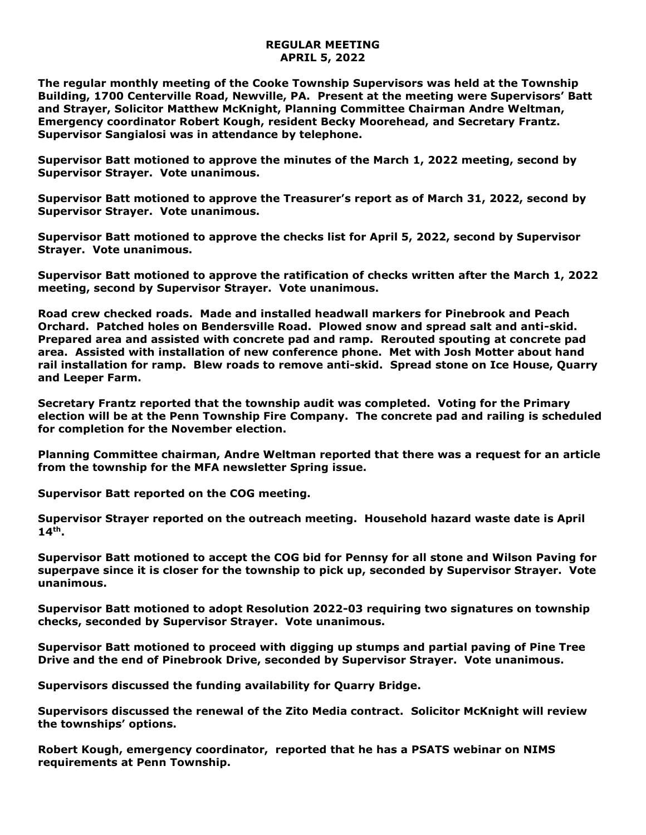## **REGULAR MEETING APRIL 5, 2022**

**The regular monthly meeting of the Cooke Township Supervisors was held at the Township Building, 1700 Centerville Road, Newville, PA. Present at the meeting were Supervisors' Batt and Strayer, Solicitor Matthew McKnight, Planning Committee Chairman Andre Weltman, Emergency coordinator Robert Kough, resident Becky Moorehead, and Secretary Frantz. Supervisor Sangialosi was in attendance by telephone.**

**Supervisor Batt motioned to approve the minutes of the March 1, 2022 meeting, second by Supervisor Strayer. Vote unanimous.** 

**Supervisor Batt motioned to approve the Treasurer's report as of March 31, 2022, second by Supervisor Strayer. Vote unanimous.**

**Supervisor Batt motioned to approve the checks list for April 5, 2022, second by Supervisor Strayer. Vote unanimous.**

**Supervisor Batt motioned to approve the ratification of checks written after the March 1, 2022 meeting, second by Supervisor Strayer. Vote unanimous.**

**Road crew checked roads. Made and installed headwall markers for Pinebrook and Peach Orchard. Patched holes on Bendersville Road. Plowed snow and spread salt and anti-skid. Prepared area and assisted with concrete pad and ramp. Rerouted spouting at concrete pad area. Assisted with installation of new conference phone. Met with Josh Motter about hand rail installation for ramp. Blew roads to remove anti-skid. Spread stone on Ice House, Quarry and Leeper Farm.**

**Secretary Frantz reported that the township audit was completed. Voting for the Primary election will be at the Penn Township Fire Company. The concrete pad and railing is scheduled for completion for the November election.** 

**Planning Committee chairman, Andre Weltman reported that there was a request for an article from the township for the MFA newsletter Spring issue.** 

**Supervisor Batt reported on the COG meeting.**

**Supervisor Strayer reported on the outreach meeting. Household hazard waste date is April 14th .**

**Supervisor Batt motioned to accept the COG bid for Pennsy for all stone and Wilson Paving for superpave since it is closer for the township to pick up, seconded by Supervisor Strayer. Vote unanimous.**

**Supervisor Batt motioned to adopt Resolution 2022-03 requiring two signatures on township checks, seconded by Supervisor Strayer. Vote unanimous.**

**Supervisor Batt motioned to proceed with digging up stumps and partial paving of Pine Tree Drive and the end of Pinebrook Drive, seconded by Supervisor Strayer. Vote unanimous.**

**Supervisors discussed the funding availability for Quarry Bridge.**

**Supervisors discussed the renewal of the Zito Media contract. Solicitor McKnight will review the townships' options.**

**Robert Kough, emergency coordinator, reported that he has a PSATS webinar on NIMS requirements at Penn Township.**